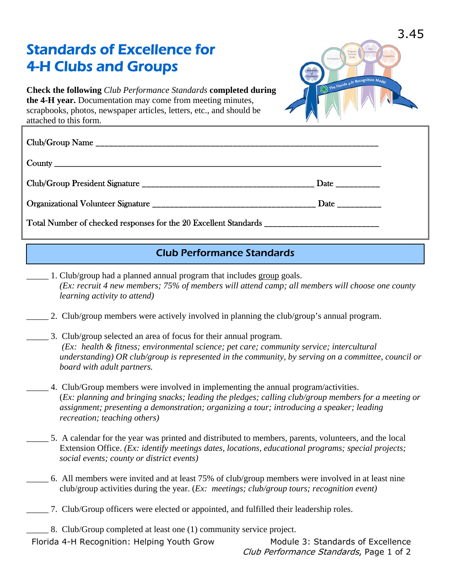## Standards of Excellence for 4-H Clubs and Groups



**Check the following** *Club Performance Standards* **completed during the 4-H year.** Documentation may come from meeting minutes, scrapbooks, photos, newspaper articles, letters, etc., and should be attached to this form.

## Club Performance Standards

- \_\_\_\_\_ 1. Club/group had a planned annual program that includes group goals. *(Ex: recruit 4 new members; 75% of members will attend camp; all members will choose one county learning activity to attend)*
- \_\_\_\_\_ 2. Club/group members were actively involved in planning the club/group's annual program.
	- \_\_\_\_\_ 3. Club/group selected an area of focus for their annual program. *(Ex: health & fitness; environmental science; pet care; community service; intercultural understanding) OR club/group is represented in the community, by serving on a committee, council or board with adult partners.*
- \_\_\_\_\_ 4. Club/Group members were involved in implementing the annual program/activities. (*Ex: planning and bringing snacks; leading the pledges; calling club/group members for a meeting or assignment; presenting a demonstration; organizing a tour; introducing a speaker; leading recreation; teaching others)*
- \_\_\_\_\_ 5. A calendar for the year was printed and distributed to members, parents, volunteers, and the local Extension Office. *(Ex: identify meetings dates, locations, educational programs; special projects; social events; county or district events)*
- \_\_\_\_\_ 6. All members were invited and at least 75% of club/group members were involved in at least nine club/group activities during the year. (*Ex: meetings; club/group tours; recognition event)*
- \_\_\_\_\_ 7. Club/Group officers were elected or appointed, and fulfilled their leadership roles.
- \_\_\_\_\_ 8. Club/Group completed at least one (1) community service project.

Florida 4-H Recognition: Helping Youth Grow Module 3: Standards of Excellence

Club Performance Standards, Page 1 of 2